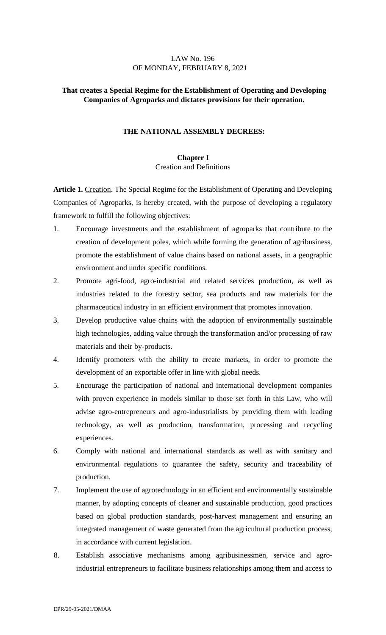#### LAW No. 196 OF MONDAY, FEBRUARY 8, 2021

## **That creates a Special Regime for the Establishment of Operating and Developing Companies of Agroparks and dictates provisions for their operation.**

#### **THE NATIONAL ASSEMBLY DECREES:**

## **Chapter I**  Creation and Definitions

**Article 1.** Creation. The Special Regime for the Establishment of Operating and Developing Companies of Agroparks, is hereby created, with the purpose of developing a regulatory framework to fulfill the following objectives:

- 1. Encourage investments and the establishment of agroparks that contribute to the creation of development poles, which while forming the generation of agribusiness, promote the establishment of value chains based on national assets, in a geographic environment and under specific conditions.
- 2. Promote agri-food, agro-industrial and related services production, as well as industries related to the forestry sector, sea products and raw materials for the pharmaceutical industry in an efficient environment that promotes innovation.
- 3. Develop productive value chains with the adoption of environmentally sustainable high technologies, adding value through the transformation and/or processing of raw materials and their by-products.
- 4. Identify promoters with the ability to create markets, in order to promote the development of an exportable offer in line with global needs.
- 5. Encourage the participation of national and international development companies with proven experience in models similar to those set forth in this Law, who will advise agro-entrepreneurs and agro-industrialists by providing them with leading technology, as well as production, transformation, processing and recycling experiences.
- 6. Comply with national and international standards as well as with sanitary and environmental regulations to guarantee the safety, security and traceability of production.
- 7. Implement the use of agrotechnology in an efficient and environmentally sustainable manner, by adopting concepts of cleaner and sustainable production, good practices based on global production standards, post-harvest management and ensuring an integrated management of waste generated from the agricultural production process, in accordance with current legislation.
- 8. Establish associative mechanisms among agribusinessmen, service and agroindustrial entrepreneurs to facilitate business relationships among them and access to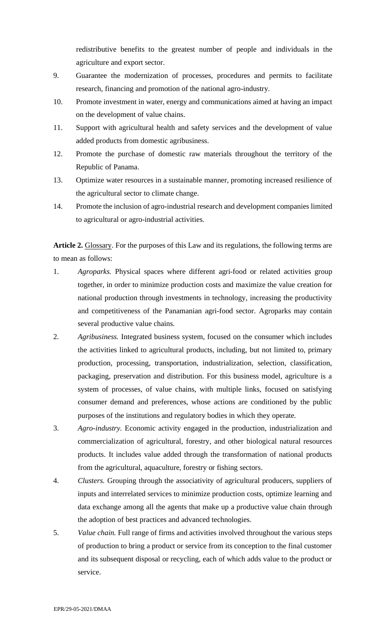redistributive benefits to the greatest number of people and individuals in the agriculture and export sector.

- 9. Guarantee the modernization of processes, procedures and permits to facilitate research, financing and promotion of the national agro-industry.
- 10. Promote investment in water, energy and communications aimed at having an impact on the development of value chains.
- 11. Support with agricultural health and safety services and the development of value added products from domestic agribusiness.
- 12. Promote the purchase of domestic raw materials throughout the territory of the Republic of Panama.
- 13. Optimize water resources in a sustainable manner, promoting increased resilience of the agricultural sector to climate change.
- 14. Promote the inclusion of agro-industrial research and development companies limited to agricultural or agro-industrial activities.

**Article 2.** Glossary. For the purposes of this Law and its regulations, the following terms are to mean as follows:

- 1. *Agroparks.* Physical spaces where different agri-food or related activities group together, in order to minimize production costs and maximize the value creation for national production through investments in technology, increasing the productivity and competitiveness of the Panamanian agri-food sector. Agroparks may contain several productive value chains.
- 2. *Agribusiness.* Integrated business system, focused on the consumer which includes the activities linked to agricultural products, including, but not limited to, primary production, processing, transportation, industrialization, selection, classification, packaging, preservation and distribution. For this business model, agriculture is a system of processes, of value chains, with multiple links, focused on satisfying consumer demand and preferences, whose actions are conditioned by the public purposes of the institutions and regulatory bodies in which they operate.
- 3. *Agro-industry.* Economic activity engaged in the production, industrialization and commercialization of agricultural, forestry, and other biological natural resources products. It includes value added through the transformation of national products from the agricultural, aquaculture, forestry or fishing sectors.
- 4. *Clusters.* Grouping through the associativity of agricultural producers, suppliers of inputs and interrelated services to minimize production costs, optimize learning and data exchange among all the agents that make up a productive value chain through the adoption of best practices and advanced technologies.
- 5. *Value chain.* Full range of firms and activities involved throughout the various steps of production to bring a product or service from its conception to the final customer and its subsequent disposal or recycling, each of which adds value to the product or service.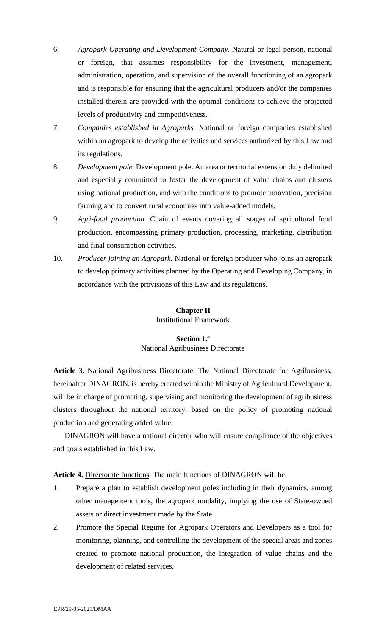- 6. *Agropark Operating and Development Company.* Natural or legal person, national or foreign, that assumes responsibility for the investment, management, administration, operation, and supervision of the overall functioning of an agropark and is responsible for ensuring that the agricultural producers and/or the companies installed therein are provided with the optimal conditions to achieve the projected levels of productivity and competitiveness.
- 7. *Companies established in Agroparks.* National or foreign companies established within an agropark to develop the activities and services authorized by this Law and its regulations.
- 8. *Development pole.* Development pole. An area or territorial extension duly delimited and especially committed to foster the development of value chains and clusters using national production, and with the conditions to promote innovation, precision farming and to convert rural economies into value-added models.
- 9. *Agri-food production.* Chain of events covering all stages of agricultural food production, encompassing primary production, processing, marketing, distribution and final consumption activities.
- 10. *Producer joining an Agropark.* National or foreign producer who joins an agropark to develop primary activities planned by the Operating and Developing Company, in accordance with the provisions of this Law and its regulations.

# **Chapter II**

Institutional Framework

## **Section 1.<sup>a</sup>** National Agribusiness Directorate

**Article 3.** National Agribusiness Directorate. The National Directorate for Agribusiness, hereinafter DINAGRON, is hereby created within the Ministry of Agricultural Development, will be in charge of promoting, supervising and monitoring the development of agribusiness clusters throughout the national territory, based on the policy of promoting national production and generating added value.

DINAGRON will have a national director who will ensure compliance of the objectives and goals established in this Law.

**Article 4.** Directorate functions. The main functions of DINAGRON will be:

- 1. Prepare a plan to establish development poles including in their dynamics, among other management tools, the agropark modality, implying the use of State-owned assets or direct investment made by the State.
- 2. Promote the Special Regime for Agropark Operators and Developers as a tool for monitoring, planning, and controlling the development of the special areas and zones created to promote national production, the integration of value chains and the development of related services.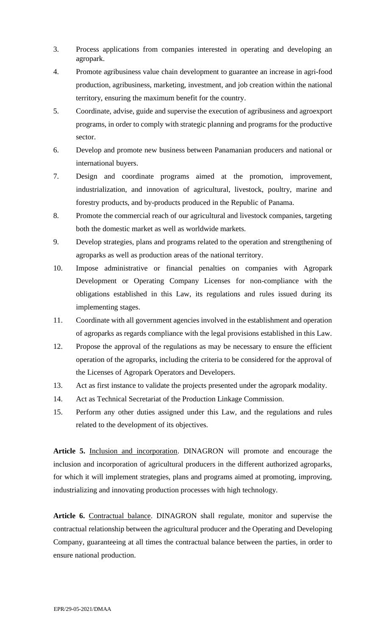- 3. Process applications from companies interested in operating and developing an agropark.
- 4. Promote agribusiness value chain development to guarantee an increase in agri-food production, agribusiness, marketing, investment, and job creation within the national territory, ensuring the maximum benefit for the country.
- 5. Coordinate, advise, guide and supervise the execution of agribusiness and agroexport programs, in order to comply with strategic planning and programs for the productive sector.
- 6. Develop and promote new business between Panamanian producers and national or international buyers.
- 7. Design and coordinate programs aimed at the promotion, improvement, industrialization, and innovation of agricultural, livestock, poultry, marine and forestry products, and by-products produced in the Republic of Panama.
- 8. Promote the commercial reach of our agricultural and livestock companies, targeting both the domestic market as well as worldwide markets.
- 9. Develop strategies, plans and programs related to the operation and strengthening of agroparks as well as production areas of the national territory.
- 10. Impose administrative or financial penalties on companies with Agropark Development or Operating Company Licenses for non-compliance with the obligations established in this Law, its regulations and rules issued during its implementing stages.
- 11. Coordinate with all government agencies involved in the establishment and operation of agroparks as regards compliance with the legal provisions established in this Law.
- 12. Propose the approval of the regulations as may be necessary to ensure the efficient operation of the agroparks, including the criteria to be considered for the approval of the Licenses of Agropark Operators and Developers.
- 13. Act as first instance to validate the projects presented under the agropark modality.
- 14. Act as Technical Secretariat of the Production Linkage Commission.
- 15. Perform any other duties assigned under this Law, and the regulations and rules related to the development of its objectives.

**Article 5.** Inclusion and incorporation. DINAGRON will promote and encourage the inclusion and incorporation of agricultural producers in the different authorized agroparks, for which it will implement strategies, plans and programs aimed at promoting, improving, industrializing and innovating production processes with high technology.

**Article 6.** Contractual balance. DINAGRON shall regulate, monitor and supervise the contractual relationship between the agricultural producer and the Operating and Developing Company, guaranteeing at all times the contractual balance between the parties, in order to ensure national production.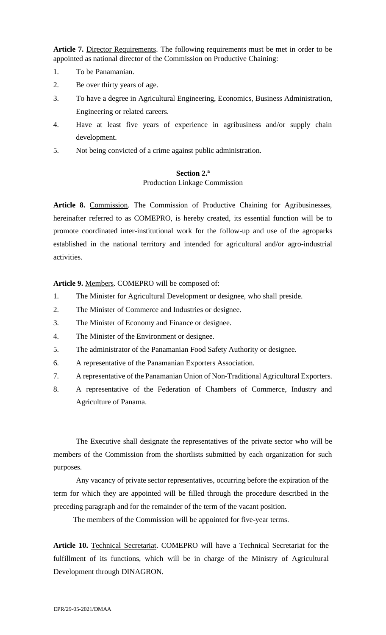**Article 7.** Director Requirements. The following requirements must be met in order to be appointed as national director of the Commission on Productive Chaining:

- 1. To be Panamanian.
- 2. Be over thirty years of age.
- 3. To have a degree in Agricultural Engineering, Economics, Business Administration, Engineering or related careers.
- 4. Have at least five years of experience in agribusiness and/or supply chain development.
- 5. Not being convicted of a crime against public administration.

# **Section 2.<sup>a</sup>** Production Linkage Commission

**Article 8.** Commission. The Commission of Productive Chaining for Agribusinesses, hereinafter referred to as COMEPRO, is hereby created, its essential function will be to promote coordinated inter-institutional work for the follow-up and use of the agroparks established in the national territory and intended for agricultural and/or agro-industrial activities.

**Article 9.** Members. COMEPRO will be composed of:

- 1. The Minister for Agricultural Development or designee, who shall preside.
- 2. The Minister of Commerce and Industries or designee.
- 3. The Minister of Economy and Finance or designee.
- 4. The Minister of the Environment or designee.
- 5. The administrator of the Panamanian Food Safety Authority or designee.
- 6. A representative of the Panamanian Exporters Association.
- 7. A representative of the Panamanian Union of Non-Traditional Agricultural Exporters.
- 8. A representative of the Federation of Chambers of Commerce, Industry and Agriculture of Panama.

The Executive shall designate the representatives of the private sector who will be members of the Commission from the shortlists submitted by each organization for such purposes.

Any vacancy of private sector representatives, occurring before the expiration of the term for which they are appointed will be filled through the procedure described in the preceding paragraph and for the remainder of the term of the vacant position.

The members of the Commission will be appointed for five-year terms.

**Article 10.** Technical Secretariat. COMEPRO will have a Technical Secretariat for the fulfillment of its functions, which will be in charge of the Ministry of Agricultural Development through DINAGRON.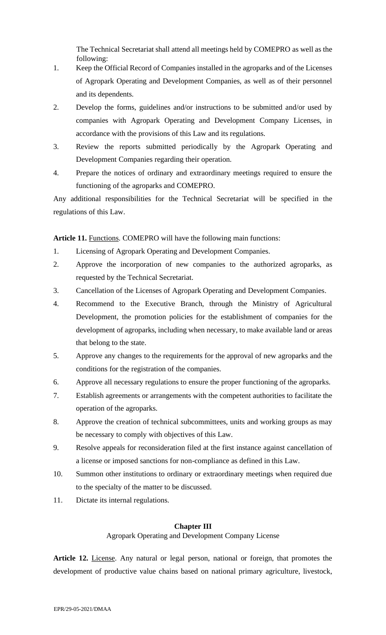The Technical Secretariat shall attend all meetings held by COMEPRO as well as the following:

- 1. Keep the Official Record of Companies installed in the agroparks and of the Licenses of Agropark Operating and Development Companies, as well as of their personnel and its dependents.
- 2. Develop the forms, guidelines and/or instructions to be submitted and/or used by companies with Agropark Operating and Development Company Licenses, in accordance with the provisions of this Law and its regulations.
- 3. Review the reports submitted periodically by the Agropark Operating and Development Companies regarding their operation.
- 4. Prepare the notices of ordinary and extraordinary meetings required to ensure the functioning of the agroparks and COMEPRO.

Any additional responsibilities for the Technical Secretariat will be specified in the regulations of this Law.

Article 11. Functions. COMEPRO will have the following main functions:

- 1. Licensing of Agropark Operating and Development Companies.
- 2. Approve the incorporation of new companies to the authorized agroparks, as requested by the Technical Secretariat.
- 3. Cancellation of the Licenses of Agropark Operating and Development Companies.
- 4. Recommend to the Executive Branch, through the Ministry of Agricultural Development, the promotion policies for the establishment of companies for the development of agroparks, including when necessary, to make available land or areas that belong to the state.
- 5. Approve any changes to the requirements for the approval of new agroparks and the conditions for the registration of the companies.
- 6. Approve all necessary regulations to ensure the proper functioning of the agroparks.
- 7. Establish agreements or arrangements with the competent authorities to facilitate the operation of the agroparks.
- 8. Approve the creation of technical subcommittees, units and working groups as may be necessary to comply with objectives of this Law.
- 9. Resolve appeals for reconsideration filed at the first instance against cancellation of a license or imposed sanctions for non-compliance as defined in this Law.
- 10. Summon other institutions to ordinary or extraordinary meetings when required due to the specialty of the matter to be discussed.
- 11. Dictate its internal regulations.

#### **Chapter III**

Agropark Operating and Development Company License

Article 12. License. Any natural or legal person, national or foreign, that promotes the development of productive value chains based on national primary agriculture, livestock,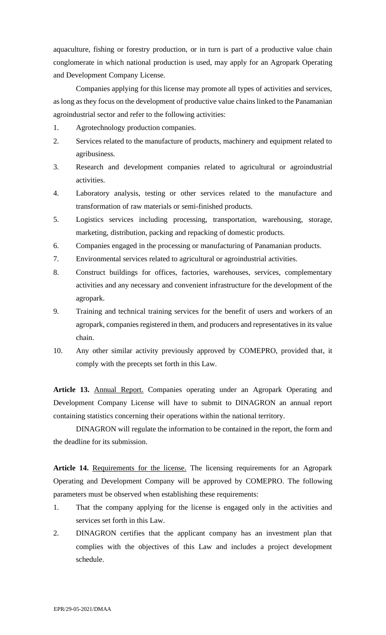aquaculture, fishing or forestry production, or in turn is part of a productive value chain conglomerate in which national production is used, may apply for an Agropark Operating and Development Company License.

Companies applying for this license may promote all types of activities and services, as long asthey focus on the development of productive value chains linked to the Panamanian agroindustrial sector and refer to the following activities:

- 1. Agrotechnology production companies.
- 2. Services related to the manufacture of products, machinery and equipment related to agribusiness.
- 3. Research and development companies related to agricultural or agroindustrial activities.
- 4. Laboratory analysis, testing or other services related to the manufacture and transformation of raw materials or semi-finished products.
- 5. Logistics services including processing, transportation, warehousing, storage, marketing, distribution, packing and repacking of domestic products.
- 6. Companies engaged in the processing or manufacturing of Panamanian products.
- 7. Environmental services related to agricultural or agroindustrial activities.
- 8. Construct buildings for offices, factories, warehouses, services, complementary activities and any necessary and convenient infrastructure for the development of the agropark.
- 9. Training and technical training services for the benefit of users and workers of an agropark, companies registered in them, and producers and representatives in its value chain.
- 10. Any other similar activity previously approved by COMEPRO, provided that, it comply with the precepts set forth in this Law.

**Article 13.** Annual Report. Companies operating under an Agropark Operating and Development Company License will have to submit to DINAGRON an annual report containing statistics concerning their operations within the national territory.

DINAGRON will regulate the information to be contained in the report, the form and the deadline for its submission.

Article 14. Requirements for the license. The licensing requirements for an Agropark Operating and Development Company will be approved by COMEPRO. The following parameters must be observed when establishing these requirements:

- 1. That the company applying for the license is engaged only in the activities and services set forth in this Law.
- 2. DINAGRON certifies that the applicant company has an investment plan that complies with the objectives of this Law and includes a project development schedule.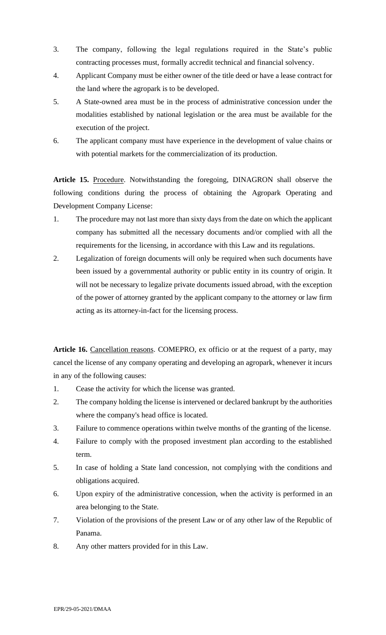- 3. The company, following the legal regulations required in the State's public contracting processes must, formally accredit technical and financial solvency.
- 4. Applicant Company must be either owner of the title deed or have a lease contract for the land where the agropark is to be developed.
- 5. A State-owned area must be in the process of administrative concession under the modalities established by national legislation or the area must be available for the execution of the project.
- 6. The applicant company must have experience in the development of value chains or with potential markets for the commercialization of its production.

**Article 15.** Procedure. Notwithstanding the foregoing, DINAGRON shall observe the following conditions during the process of obtaining the Agropark Operating and Development Company License:

- 1. The procedure may not last more than sixty days from the date on which the applicant company has submitted all the necessary documents and/or complied with all the requirements for the licensing, in accordance with this Law and its regulations.
- 2. Legalization of foreign documents will only be required when such documents have been issued by a governmental authority or public entity in its country of origin. It will not be necessary to legalize private documents issued abroad, with the exception of the power of attorney granted by the applicant company to the attorney or law firm acting as its attorney-in-fact for the licensing process.

Article 16. Cancellation reasons. COMEPRO, ex officio or at the request of a party, may cancel the license of any company operating and developing an agropark, whenever it incurs in any of the following causes:

- 1. Cease the activity for which the license was granted.
- 2. The company holding the license is intervened or declared bankrupt by the authorities where the company's head office is located.
- 3. Failure to commence operations within twelve months of the granting of the license.
- 4. Failure to comply with the proposed investment plan according to the established term.
- 5. In case of holding a State land concession, not complying with the conditions and obligations acquired.
- 6. Upon expiry of the administrative concession, when the activity is performed in an area belonging to the State.
- 7. Violation of the provisions of the present Law or of any other law of the Republic of Panama.
- 8. Any other matters provided for in this Law.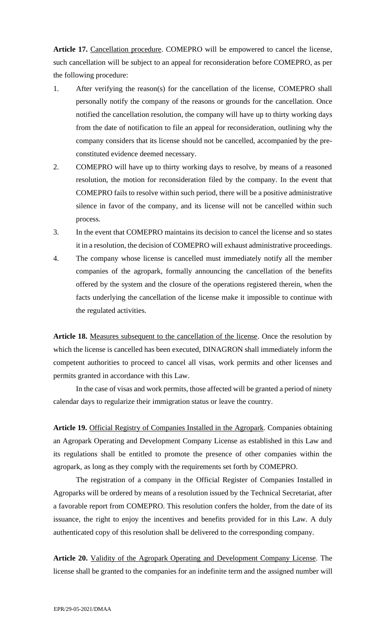Article 17. Cancellation procedure. COMEPRO will be empowered to cancel the license, such cancellation will be subject to an appeal for reconsideration before COMEPRO, as per the following procedure:

- 1. After verifying the reason(s) for the cancellation of the license, COMEPRO shall personally notify the company of the reasons or grounds for the cancellation. Once notified the cancellation resolution, the company will have up to thirty working days from the date of notification to file an appeal for reconsideration, outlining why the company considers that its license should not be cancelled, accompanied by the preconstituted evidence deemed necessary.
- 2. COMEPRO will have up to thirty working days to resolve, by means of a reasoned resolution, the motion for reconsideration filed by the company. In the event that COMEPRO fails to resolve within such period, there will be a positive administrative silence in favor of the company, and its license will not be cancelled within such process.
- 3. In the event that COMEPRO maintains its decision to cancel the license and so states it in a resolution, the decision of COMEPRO will exhaust administrative proceedings.
- 4. The company whose license is cancelled must immediately notify all the member companies of the agropark, formally announcing the cancellation of the benefits offered by the system and the closure of the operations registered therein, when the facts underlying the cancellation of the license make it impossible to continue with the regulated activities.

**Article 18.** Measures subsequent to the cancellation of the license. Once the resolution by which the license is cancelled has been executed, DINAGRON shall immediately inform the competent authorities to proceed to cancel all visas, work permits and other licenses and permits granted in accordance with this Law.

In the case of visas and work permits, those affected will be granted a period of ninety calendar days to regularize their immigration status or leave the country.

**Article 19.** Official Registry of Companies Installed in the Agropark. Companies obtaining an Agropark Operating and Development Company License as established in this Law and its regulations shall be entitled to promote the presence of other companies within the agropark, as long as they comply with the requirements set forth by COMEPRO.

The registration of a company in the Official Register of Companies Installed in Agroparks will be ordered by means of a resolution issued by the Technical Secretariat, after a favorable report from COMEPRO. This resolution confers the holder, from the date of its issuance, the right to enjoy the incentives and benefits provided for in this Law. A duly authenticated copy of this resolution shall be delivered to the corresponding company.

**Article 20.** Validity of the Agropark Operating and Development Company License. The license shall be granted to the companies for an indefinite term and the assigned number will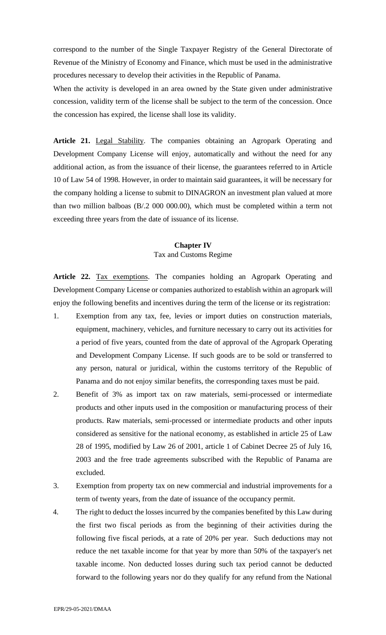correspond to the number of the Single Taxpayer Registry of the General Directorate of Revenue of the Ministry of Economy and Finance, which must be used in the administrative procedures necessary to develop their activities in the Republic of Panama.

When the activity is developed in an area owned by the State given under administrative concession, validity term of the license shall be subject to the term of the concession. Once the concession has expired, the license shall lose its validity.

**Article 21.** Legal Stability. The companies obtaining an Agropark Operating and Development Company License will enjoy, automatically and without the need for any additional action, as from the issuance of their license, the guarantees referred to in Article 10 of Law 54 of 1998. However, in order to maintain said guarantees, it will be necessary for the company holding a license to submit to DINAGRON an investment plan valued at more than two million balboas (B/.2 000 000.00), which must be completed within a term not exceeding three years from the date of issuance of its license.

#### **Chapter IV**  Tax and Customs Regime

**Article 22.** Tax exemptions. The companies holding an Agropark Operating and Development Company License or companies authorized to establish within an agropark will enjoy the following benefits and incentives during the term of the license or its registration:

- 1. Exemption from any tax, fee, levies or import duties on construction materials, equipment, machinery, vehicles, and furniture necessary to carry out its activities for a period of five years, counted from the date of approval of the Agropark Operating and Development Company License. If such goods are to be sold or transferred to any person, natural or juridical, within the customs territory of the Republic of Panama and do not enjoy similar benefits, the corresponding taxes must be paid.
- 2. Benefit of 3% as import tax on raw materials, semi-processed or intermediate products and other inputs used in the composition or manufacturing process of their products. Raw materials, semi-processed or intermediate products and other inputs considered as sensitive for the national economy, as established in article 25 of Law 28 of 1995, modified by Law 26 of 2001, article 1 of Cabinet Decree 25 of July 16, 2003 and the free trade agreements subscribed with the Republic of Panama are excluded.
- 3. Exemption from property tax on new commercial and industrial improvements for a term of twenty years, from the date of issuance of the occupancy permit.
- 4. The right to deduct the losses incurred by the companies benefited by this Law during the first two fiscal periods as from the beginning of their activities during the following five fiscal periods, at a rate of 20% per year. Such deductions may not reduce the net taxable income for that year by more than 50% of the taxpayer's net taxable income. Non deducted losses during such tax period cannot be deducted forward to the following years nor do they qualify for any refund from the National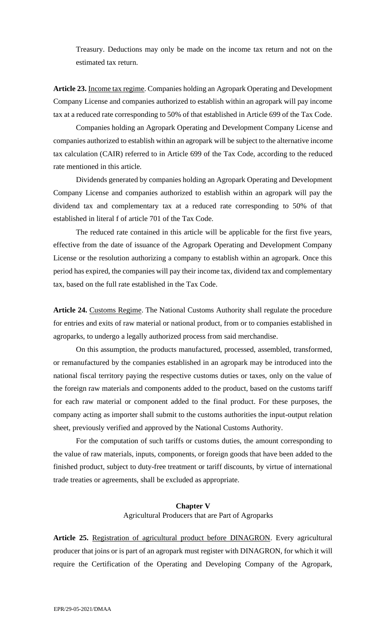Treasury. Deductions may only be made on the income tax return and not on the estimated tax return.

**Article 23.** Income tax regime. Companies holding an Agropark Operating and Development Company License and companies authorized to establish within an agropark will pay income tax at a reduced rate corresponding to 50% of that established in Article 699 of the Tax Code.

Companies holding an Agropark Operating and Development Company License and companies authorized to establish within an agropark will be subject to the alternative income tax calculation (CAIR) referred to in Article 699 of the Tax Code, according to the reduced rate mentioned in this article.

Dividends generated by companies holding an Agropark Operating and Development Company License and companies authorized to establish within an agropark will pay the dividend tax and complementary tax at a reduced rate corresponding to 50% of that established in literal f of article 701 of the Tax Code.

The reduced rate contained in this article will be applicable for the first five years, effective from the date of issuance of the Agropark Operating and Development Company License or the resolution authorizing a company to establish within an agropark. Once this period has expired, the companies will pay their income tax, dividend tax and complementary tax, based on the full rate established in the Tax Code.

Article 24. Customs Regime. The National Customs Authority shall regulate the procedure for entries and exits of raw material or national product, from or to companies established in agroparks, to undergo a legally authorized process from said merchandise.

On this assumption, the products manufactured, processed, assembled, transformed, or remanufactured by the companies established in an agropark may be introduced into the national fiscal territory paying the respective customs duties or taxes, only on the value of the foreign raw materials and components added to the product, based on the customs tariff for each raw material or component added to the final product. For these purposes, the company acting as importer shall submit to the customs authorities the input-output relation sheet, previously verified and approved by the National Customs Authority.

For the computation of such tariffs or customs duties, the amount corresponding to the value of raw materials, inputs, components, or foreign goods that have been added to the finished product, subject to duty-free treatment or tariff discounts, by virtue of international trade treaties or agreements, shall be excluded as appropriate.

#### **Chapter V**  Agricultural Producers that are Part of Agroparks

**Article 25.** Registration of agricultural product before DINAGRON. Every agricultural producer that joins or is part of an agropark must register with DINAGRON, for which it will require the Certification of the Operating and Developing Company of the Agropark,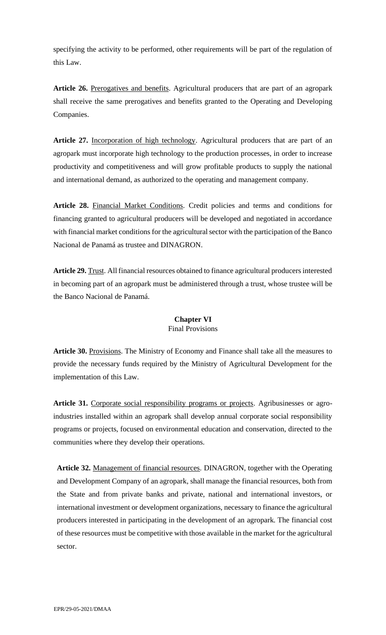specifying the activity to be performed, other requirements will be part of the regulation of this Law.

Article 26. Prerogatives and benefits. Agricultural producers that are part of an agropark shall receive the same prerogatives and benefits granted to the Operating and Developing Companies.

**Article 27.** Incorporation of high technology. Agricultural producers that are part of an agropark must incorporate high technology to the production processes, in order to increase productivity and competitiveness and will grow profitable products to supply the national and international demand, as authorized to the operating and management company.

**Article 28.** Financial Market Conditions. Credit policies and terms and conditions for financing granted to agricultural producers will be developed and negotiated in accordance with financial market conditions for the agricultural sector with the participation of the Banco Nacional de Panamá as trustee and DINAGRON.

**Article 29.** Trust. All financial resources obtained to finance agricultural producers interested in becoming part of an agropark must be administered through a trust, whose trustee will be the Banco Nacional de Panamá.

# **Chapter VI**

# Final Provisions

**Article 30.** Provisions. The Ministry of Economy and Finance shall take all the measures to provide the necessary funds required by the Ministry of Agricultural Development for the implementation of this Law.

Article 31. Corporate social responsibility programs or projects. Agribusinesses or agroindustries installed within an agropark shall develop annual corporate social responsibility programs or projects, focused on environmental education and conservation, directed to the communities where they develop their operations.

**Article 32.** Management of financial resources. DINAGRON, together with the Operating and Development Company of an agropark, shall manage the financial resources, both from the State and from private banks and private, national and international investors, or international investment or development organizations, necessary to finance the agricultural producers interested in participating in the development of an agropark. The financial cost of these resources must be competitive with those available in the market for the agricultural sector.